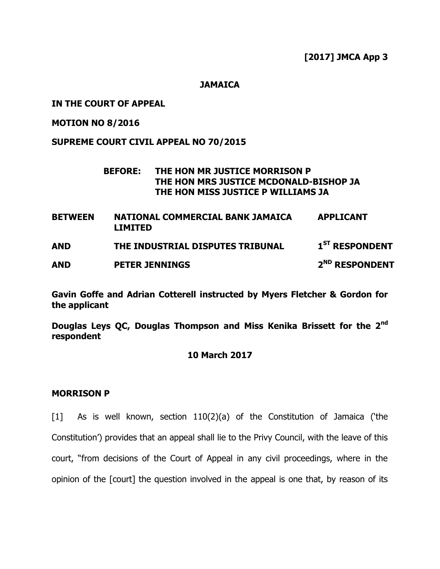**[2017] JMCA App 3**

**JAMAICA**

## **IN THE COURT OF APPEAL**

**MOTION NO 8/2016**

# **SUPREME COURT CIVIL APPEAL NO 70/2015**

## **BEFORE: THE HON MR JUSTICE MORRISON P THE HON MRS JUSTICE MCDONALD-BISHOP JA THE HON MISS JUSTICE P WILLIAMS JA**

**BETWEEN NATIONAL COMMERCIAL BANK JAMAICA LIMITED APPLICANT AND THE INDUSTRIAL DISPUTES TRIBUNAL 1**  $1<sup>ST</sup>$  **RESPONDENT AND PETER JENNINGS 2 ND RESPONDENT**

**Gavin Goffe and Adrian Cotterell instructed by Myers Fletcher & Gordon for the applicant**

**Douglas Leys QC, Douglas Thompson and Miss Kenika Brissett for the 2nd respondent**

## **10 March 2017**

## **MORRISON P**

[1] As is well known, section 110(2)(a) of the Constitution of Jamaica ('the Constitution") provides that an appeal shall lie to the Privy Council, with the leave of this court, "from decisions of the Court of Appeal in any civil proceedings, where in the opinion of the [court] the question involved in the appeal is one that, by reason of its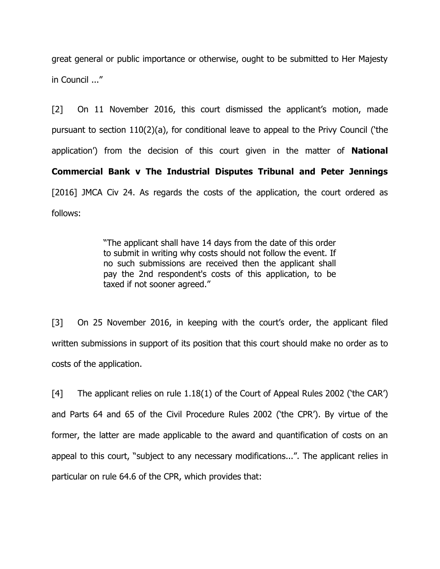great general or public importance or otherwise, ought to be submitted to Her Majesty in Council ..."

[2] On 11 November 2016, this court dismissed the applicant's motion, made pursuant to section 110(2)(a), for conditional leave to appeal to the Privy Council ("the application") from the decision of this court given in the matter of **National Commercial Bank v The Industrial Disputes Tribunal and Peter Jennings** [2016] JMCA Civ 24. As regards the costs of the application, the court ordered as follows:

> "The applicant shall have 14 days from the date of this order to submit in writing why costs should not follow the event. If no such submissions are received then the applicant shall pay the 2nd respondent's costs of this application, to be taxed if not sooner agreed."

[3] On 25 November 2016, in keeping with the court's order, the applicant filed written submissions in support of its position that this court should make no order as to costs of the application.

[4] The applicant relies on rule 1.18(1) of the Court of Appeal Rules 2002 ('the CAR') and Parts 64 and 65 of the Civil Procedure Rules 2002 ('the CPR'). By virtue of the former, the latter are made applicable to the award and quantification of costs on an appeal to this court, "subject to any necessary modifications...". The applicant relies in particular on rule 64.6 of the CPR, which provides that: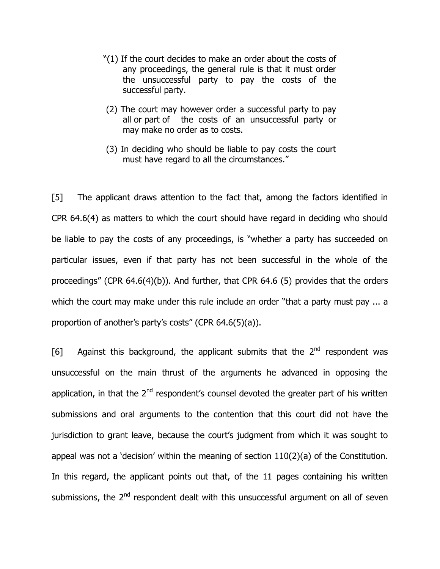- "(1) If the court decides to make an order about the costs of any proceedings, the general rule is that it must order the unsuccessful party to pay the costs of the successful party.
- (2) The court may however order a successful party to pay all or part of the costs of an unsuccessful party or may make no order as to costs.
- (3) In deciding who should be liable to pay costs the court must have regard to all the circumstances."

[5] The applicant draws attention to the fact that, among the factors identified in CPR 64.6(4) as matters to which the court should have regard in deciding who should be liable to pay the costs of any proceedings, is "whether a party has succeeded on particular issues, even if that party has not been successful in the whole of the proceedings" (CPR 64.6(4)(b)). And further, that CPR 64.6 (5) provides that the orders which the court may make under this rule include an order "that a party must pay ... a proportion of another's party's costs" (CPR 64.6(5)(a)).

[6] Against this background, the applicant submits that the  $2^{nd}$  respondent was unsuccessful on the main thrust of the arguments he advanced in opposing the application, in that the  $2<sup>nd</sup>$  respondent's counsel devoted the greater part of his written submissions and oral arguments to the contention that this court did not have the jurisdiction to grant leave, because the court's judgment from which it was sought to appeal was not a 'decision' within the meaning of section  $110(2)(a)$  of the Constitution. In this regard, the applicant points out that, of the 11 pages containing his written submissions, the 2<sup>nd</sup> respondent dealt with this unsuccessful argument on all of seven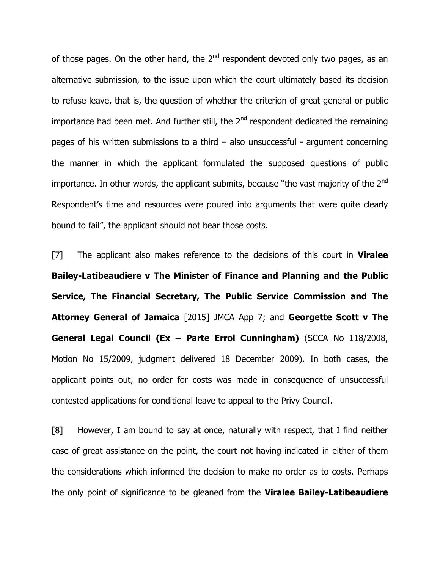of those pages. On the other hand, the  $2<sup>nd</sup>$  respondent devoted only two pages, as an alternative submission, to the issue upon which the court ultimately based its decision to refuse leave, that is, the question of whether the criterion of great general or public importance had been met. And further still, the  $2<sup>nd</sup>$  respondent dedicated the remaining pages of his written submissions to a third – also unsuccessful - argument concerning the manner in which the applicant formulated the supposed questions of public importance. In other words, the applicant submits, because "the vast majority of the  $2^{nd}$ Respondent"s time and resources were poured into arguments that were quite clearly bound to fail", the applicant should not bear those costs.

[7] The applicant also makes reference to the decisions of this court in **Viralee Bailey-Latibeaudiere v The Minister of Finance and Planning and the Public Service, The Financial Secretary, The Public Service Commission and The Attorney General of Jamaica** [2015] JMCA App 7; and **Georgette Scott v The General Legal Council (Ex – Parte Errol Cunningham)** (SCCA No 118/2008, Motion No 15/2009, judgment delivered 18 December 2009). In both cases, the applicant points out, no order for costs was made in consequence of unsuccessful contested applications for conditional leave to appeal to the Privy Council.

[8] However, I am bound to say at once, naturally with respect, that I find neither case of great assistance on the point, the court not having indicated in either of them the considerations which informed the decision to make no order as to costs. Perhaps the only point of significance to be gleaned from the **Viralee Bailey-Latibeaudiere**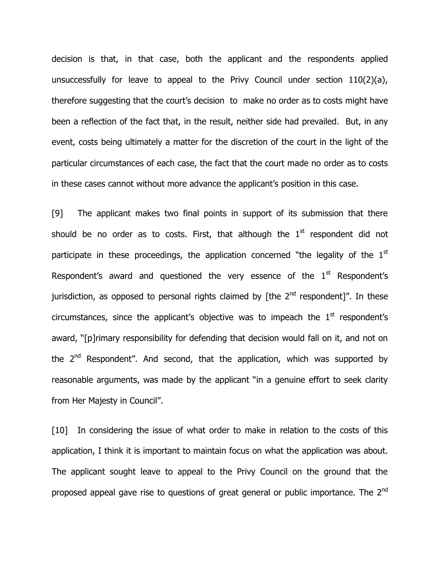decision is that, in that case, both the applicant and the respondents applied unsuccessfully for leave to appeal to the Privy Council under section 110(2)(a), therefore suggesting that the court"s decision to make no order as to costs might have been a reflection of the fact that, in the result, neither side had prevailed. But, in any event, costs being ultimately a matter for the discretion of the court in the light of the particular circumstances of each case, the fact that the court made no order as to costs in these cases cannot without more advance the applicant's position in this case.

[9] The applicant makes two final points in support of its submission that there should be no order as to costs. First, that although the  $1<sup>st</sup>$  respondent did not participate in these proceedings, the application concerned "the legality of the  $1<sup>st</sup>$ Respondent's award and questioned the very essence of the  $1<sup>st</sup>$  Respondent's jurisdiction, as opposed to personal rights claimed by [the  $2^{nd}$  respondent]". In these circumstances, since the applicant's objective was to impeach the  $1<sup>st</sup>$  respondent's award, "[p]rimary responsibility for defending that decision would fall on it, and not on the  $2^{nd}$  Respondent". And second, that the application, which was supported by reasonable arguments, was made by the applicant "in a genuine effort to seek clarity from Her Majesty in Council".

[10] In considering the issue of what order to make in relation to the costs of this application, I think it is important to maintain focus on what the application was about. The applicant sought leave to appeal to the Privy Council on the ground that the proposed appeal gave rise to questions of great general or public importance. The 2<sup>nd</sup>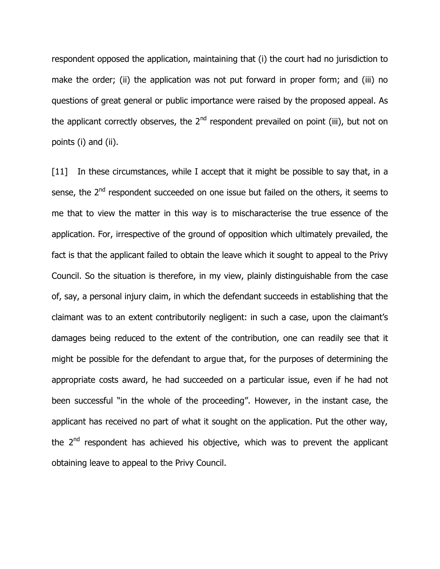respondent opposed the application, maintaining that (i) the court had no jurisdiction to make the order; (ii) the application was not put forward in proper form; and (iii) no questions of great general or public importance were raised by the proposed appeal. As the applicant correctly observes, the  $2<sup>nd</sup>$  respondent prevailed on point (iii), but not on points (i) and (ii).

[11] In these circumstances, while I accept that it might be possible to say that, in a sense, the  $2<sup>nd</sup>$  respondent succeeded on one issue but failed on the others, it seems to me that to view the matter in this way is to mischaracterise the true essence of the application. For, irrespective of the ground of opposition which ultimately prevailed, the fact is that the applicant failed to obtain the leave which it sought to appeal to the Privy Council. So the situation is therefore, in my view, plainly distinguishable from the case of, say, a personal injury claim, in which the defendant succeeds in establishing that the claimant was to an extent contributorily negligent: in such a case, upon the claimant"s damages being reduced to the extent of the contribution, one can readily see that it might be possible for the defendant to argue that, for the purposes of determining the appropriate costs award, he had succeeded on a particular issue, even if he had not been successful "in the whole of the proceeding". However, in the instant case, the applicant has received no part of what it sought on the application. Put the other way, the  $2<sup>nd</sup>$  respondent has achieved his objective, which was to prevent the applicant obtaining leave to appeal to the Privy Council.